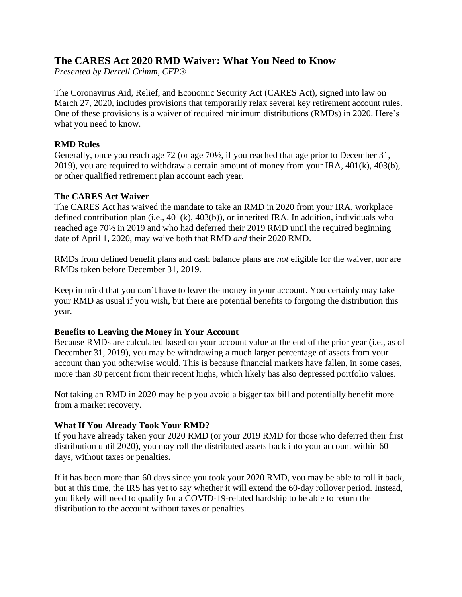# **The CARES Act 2020 RMD Waiver: What You Need to Know**

*Presented by Derrell Crimm, CFP®*

The Coronavirus Aid, Relief, and Economic Security Act (CARES Act), signed into law on March 27, 2020, includes provisions that temporarily relax several key retirement account rules. One of these provisions is a waiver of required minimum distributions (RMDs) in 2020. Here's what you need to know.

## **RMD Rules**

Generally, once you reach age 72 (or age 70½, if you reached that age prior to December 31, 2019), you are required to withdraw a certain amount of money from your IRA, 401(k), 403(b), or other qualified retirement plan account each year.

### **The CARES Act Waiver**

The CARES Act has waived the mandate to take an RMD in 2020 from your IRA, workplace defined contribution plan (i.e., 401(k), 403(b)), or inherited IRA. In addition, individuals who reached age 70½ in 2019 and who had deferred their 2019 RMD until the required beginning date of April 1, 2020, may waive both that RMD *and* their 2020 RMD.

RMDs from defined benefit plans and cash balance plans are *not* eligible for the waiver, nor are RMDs taken before December 31, 2019.

Keep in mind that you don't have to leave the money in your account. You certainly may take your RMD as usual if you wish, but there are potential benefits to forgoing the distribution this year.

### **Benefits to Leaving the Money in Your Account**

Because RMDs are calculated based on your account value at the end of the prior year (i.e., as of December 31, 2019), you may be withdrawing a much larger percentage of assets from your account than you otherwise would. This is because financial markets have fallen, in some cases, more than 30 percent from their recent highs, which likely has also depressed portfolio values.

Not taking an RMD in 2020 may help you avoid a bigger tax bill and potentially benefit more from a market recovery.

### **What If You Already Took Your RMD?**

If you have already taken your 2020 RMD (or your 2019 RMD for those who deferred their first distribution until 2020), you may roll the distributed assets back into your account within 60 days, without taxes or penalties.

If it has been more than 60 days since you took your 2020 RMD, you may be able to roll it back, but at this time, the IRS has yet to say whether it will extend the 60-day rollover period. Instead, you likely will need to qualify for a COVID-19-related hardship to be able to return the distribution to the account without taxes or penalties.